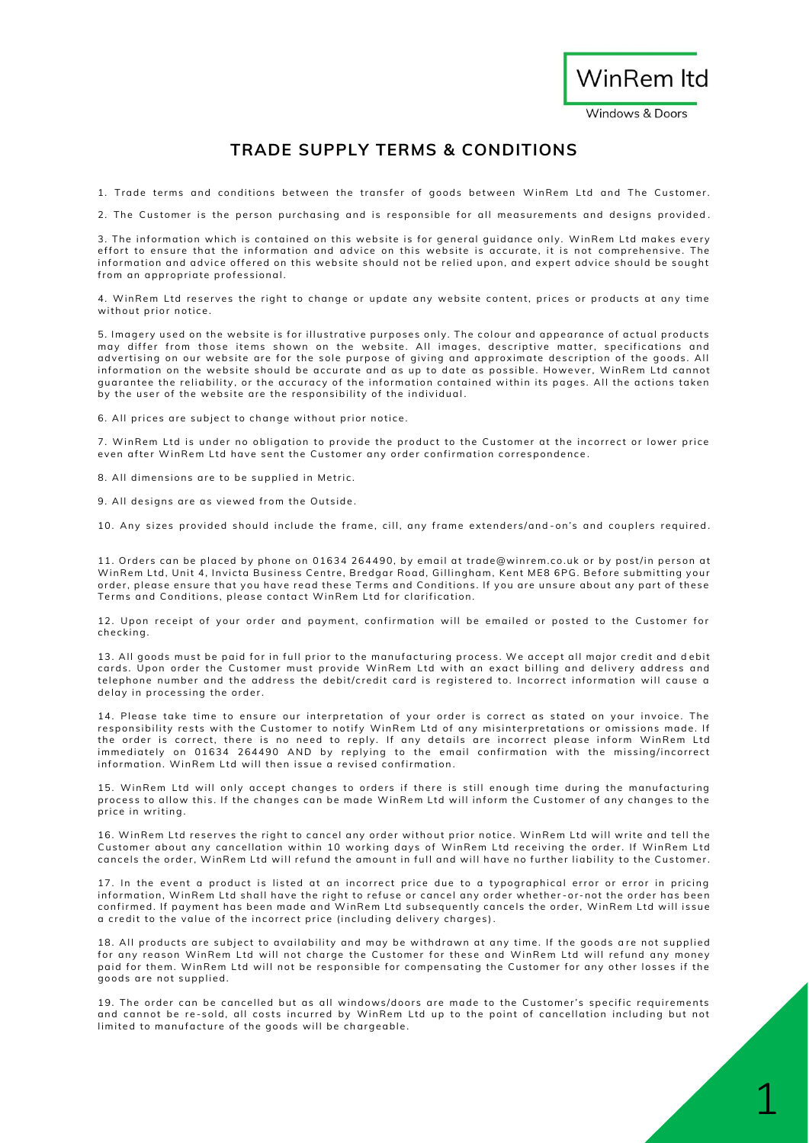

## **TRADE SUPPLY TERMS & CONDITIONS**

1. Trade terms and conditions between the transfer of goods between WinRem Ltd and The Customer.

2. The Customer is the person purchasing and is responsible for all measurements and designs provided.

3. The information which is contained on this website is for general quidance only. WinRem Ltd makes every effort to ensure that the information and advice on this website is accurate, it is not comprehensive. The information and advice offered on this website should not be relied upon, and expert advice should be sought from an appropriate professional.

4. Win Rem Ltd reserves the right to change or update any website content, prices or products at any time with out prior notice.

5. Imagery used on the website is for illustrative purposes only. The colour and appearance of actual products may differ from those items shown on the website. All images, descriptive matter, specifications and advertising on our website are for the sole purpose of giving and approximate description of the goods. All information on the website should be accurate and as up to date as possible. However, WinRem Ltd cannot guarantee the reliability, or the accuracy of the information contained within its pages. All the actions taken by the user of the website are the responsibility of the individual.

6. All prices are subject to change without prior notice.

7. WinRem Ltd is under no obligation to provide the product to the Customer at the incorrect or lower price even after WinRem Ltd have sent the Customer any order confirmation correspondence.

8. All dimensions are to be supplied in Metric.

9 All designs are as viewed from the Outside

10. Any sizes provided should include the frame, cill, any frame extenders/and-on's and couplers required.

11. Orders can be placed by phone on 01634 264490, by email at trade@winrem.co.uk or by post/in person at WinRem Ltd, Unit 4, Invicta Business Centre, Bredgar Road, Gillingham, Kent ME8 6PG. Before submitting your order, please ensure that you have read these Terms and Conditions. If you are unsure about any part of these Terms and Conditions, please contact WinRem Ltd for clarification.

12. Upon receipt of your order and payment, confirmation will be emailed or posted to the Customer for checking.

13. All goods must be paid for in full prior to the manufacturing process. We accept all major credit and debit cards. Upon order the Customer must provide WinRem Ltd with an exact billing and delivery address and telephone number and the address the debit/credit card is registered to. Incorrect information will cause a delay in processing the order.

14. Please take time to ensure our interpretation of your order is correct as stated on your invoice. The responsibility rests with the Customer to notify WinRem Ltd of any misinterpretations or omissions made. If the order is correct, there is no need to reply. If any details are incorrect please inform WinRem Ltd immediately on 01634 264490 AND by replying to the email confirmation with the missing/incorrect information. WinRem Ltd will then issue a revised confirmation.

15. WinRem Ltd will only accept changes to orders if there is still enough time during the manufacturing process to allow this. If the changes can be made WinRem Ltd will inform the Customer of any changes to the price in writing.

16 Win Rem Itd reserves the right to cancel any order without prior notice Win Rem Itd will write and tell the Customer about any cancellation within 10 working days of WinRem Ltd receiving the order. If WinRem Ltd cancels the order, WinRem Ltd will refund the amount in full and will have no further liability to the Customer.

17. In the event a product is listed at an incorrect price due to a typographical error or error in pricing information, WinRem Ltd shall have the right to refuse or cancel any order whether-or-not the order has been confirmed. If payment has been made and WinRem Ltd subsequently cancels the order, WinRem Ltd will issue a credit to the value of the incorrect price (including delivery charges).

18. All products are subject to availability and may be withdrawn at any time. If the goods are not supplied for any reason WinRem Ltd will not charge the Customer for these and WinRem Ltd will refund any money paid for them. WinRem Ltd will not be responsible for compensating the Customer for any other losses if the qoods are not supplied.

19. The order can be cancelled but as all windows/doors are made to the Customer's specific requirements and cannot be re-sold, all costs incurred by WinRem Ltd up to the point of cancellation including but not limited to manufacture of the goods will be chargeable.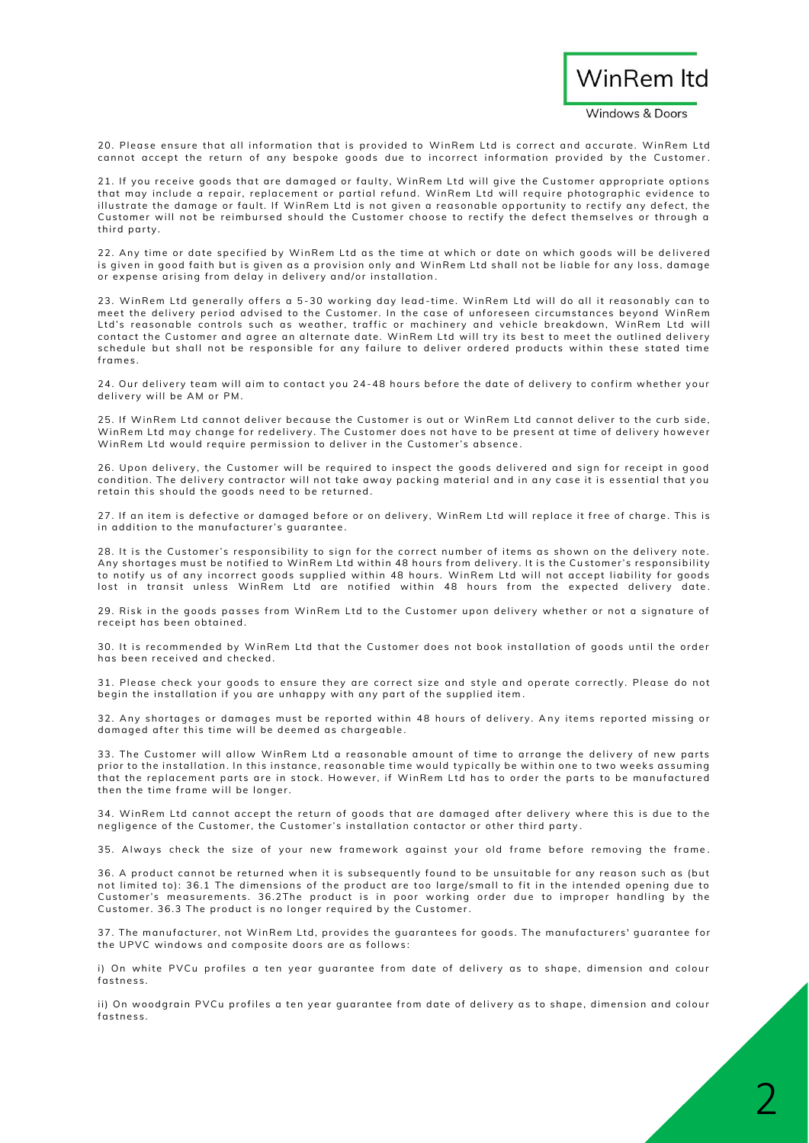## **Windows & Doors**

20. Please ensure that all information that is provided to WinRem Ltd is correct and accurate. WinRem Ltd cannot accept the return of any bespoke goods due to incorrect information provided by the Customer.

21. If you receive goods that are damaged or faulty, WinRem Ltd will give the Customer appropriate options that may include a repair, replacement or partial refund. WinRem Ltd will require photographic evidence to illustrate the damage or fault. If WinRem Ltd is not given a reasonable opportunity to rectify any defect, the Customer will not be reimbursed should the Customer choose to rectify the defect themselves or through a third party.

22. Any time or date specified by WinRem Ltd as the time at which or date on which goods will be delivered is given in good faith but is given as a provision only and WinRem Ltd shall not be liable for any loss, damage or expense arising from delay in delivery and/or installation.

23. WinRem Ltd generally offers a 5-30 working day lead-time. WinRem Ltd will do all it reasonably can to meet the delivery period advised to the Customer. In the case of unforeseen circumstances beyond WinRem Ltd's reasonable, controls such as weather, traffic or machinery and vehicle breakdown. Win Rem Ltd will contact the Customer and agree an alternate date. WinRem Ltd will try its best to meet the outlined delivery schedule but shall not be responsible for any failure to deliver ordered products within these stated time frames.

24. Our delivery team will aim to contact you 24-48 hours before the date of delivery to confirm whether your delivery will be AM or PM.

25. If WinRem Ltd cannot deliver because the Customer is out or WinRem Ltd cannot deliver to the curb side. WinRem Ltd may change for redelivery. The Customer does not have to be present at time of delivery however WinRem Ltd would require permission to deliver in the Customer's absence.

26. Upon delivery, the Customer will be required to inspect the goods delivered and sign for receipt in good condition. The delivery contractor will not take away packing material and in any case it is essential that you retain this should the goods need to be returned.

27. If an item is defective or damaged before or on delivery, WinRem Ltd will replace it free of charge. This is in addition to the manufacturer's quarantee.

28. It is the Customer's responsibility to sign for the correct number of items as shown on the delivery note. Any shortages must be notified to WinRem Ltd within 48 hours from delivery. It is the Customer's responsibility to notify us of any incorrect goods supplied within 48 hours. WinRem Ltd will not accept liability for goods lost in transit unless WinRem Ltd are notified within 48 hours from the expected delivery date.

29. Risk in the goods passes from WinRem Ltd to the Customer upon delivery whether or not a signature of receint has been obtained

30. It is recommended by WinRem Ltd that the Customer does not book installation of goods until the order has been received and checked.

31. Please check your goods to ensure they are correct size and style and operate correctly. Please do not begin the installation if you are unhappy with any part of the supplied item.

32. Any shortages or damages must be reported within 48 hours of delivery. Any items reported missing or damaged after this time will be deemed as chargeable.

33. The Customer will allow WinRem Ltd a reasonable amount of time to arrange the delivery of new parts prior to the installation. In this instance, reasonable time would typically be within one to two weeks assuming that the replacement parts are in stock. However, if WinRem Ltd has to order the parts to be manufactured then the time frame will be longer

34. WinRem Ltd cannot accept the return of goods that are damaged after delivery where this is due to the negligence of the Customer, the Customer's installation contactor or other third party.

35. Always check the size of your new framework against your old frame before removing the frame.

36. A product cannot be returned when it is subsequently found to be unsuitable for any reason such as (but not limited to): 36.1 The dimensions of the product are too large/small to fit in the intended opening due to Customer's measurements. 36.2The product is in poor working order due to improper handling by the Customer. 36.3 The product is no longer required by the Customer.

37. The manufacturer, not WinRem Ltd, provides the guarantees for goods. The manufacturers' guarantee for the UPVC windows and composite doors are as follows:

i) On white PVCu profiles a ten year guarantee from date of delivery as to shape, dimension and colour fastness

ii) On woodgrain PVCu profiles a ten year quarantee from date of delivery as to shape, dimension and colour fastness.